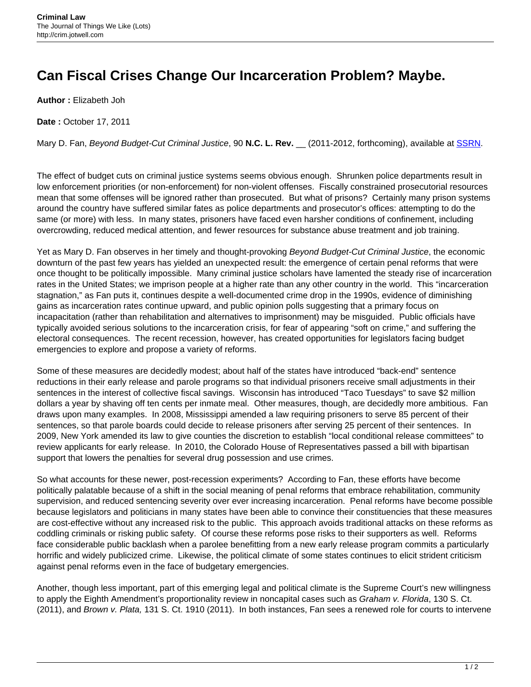## **Can Fiscal Crises Change Our Incarceration Problem? Maybe.**

**Author :** Elizabeth Joh

**Date :** October 17, 2011

Mary D. Fan, Beyond Budget-Cut Criminal Justice, 90 **N.C. L. Rev.** \_\_ (2011-2012, forthcoming), available at **[SSRN](http://papers.ssrn.com/sol3/papers.cfm?abstract_id=1804539)**.

The effect of budget cuts on criminal justice systems seems obvious enough. Shrunken police departments result in low enforcement priorities (or non-enforcement) for non-violent offenses. Fiscally constrained prosecutorial resources mean that some offenses will be ignored rather than prosecuted. But what of prisons? Certainly many prison systems around the country have suffered similar fates as police departments and prosecutor's offices: attempting to do the same (or more) with less. In many states, prisoners have faced even harsher conditions of confinement, including overcrowding, reduced medical attention, and fewer resources for substance abuse treatment and job training.

Yet as Mary D. Fan observes in her timely and thought-provoking Beyond Budget-Cut Criminal Justice, the economic downturn of the past few years has yielded an unexpected result: the emergence of certain penal reforms that were once thought to be politically impossible. Many criminal justice scholars have lamented the steady rise of incarceration rates in the United States; we imprison people at a higher rate than any other country in the world. This "incarceration stagnation," as Fan puts it, continues despite a well-documented crime drop in the 1990s, evidence of diminishing gains as incarceration rates continue upward, and public opinion polls suggesting that a primary focus on incapacitation (rather than rehabilitation and alternatives to imprisonment) may be misguided. Public officials have typically avoided serious solutions to the incarceration crisis, for fear of appearing "soft on crime," and suffering the electoral consequences. The recent recession, however, has created opportunities for legislators facing budget emergencies to explore and propose a variety of reforms.

Some of these measures are decidedly modest; about half of the states have introduced "back-end" sentence reductions in their early release and parole programs so that individual prisoners receive small adjustments in their sentences in the interest of collective fiscal savings. Wisconsin has introduced "Taco Tuesdays" to save \$2 million dollars a year by shaving off ten cents per inmate meal. Other measures, though, are decidedly more ambitious. Fan draws upon many examples. In 2008, Mississippi amended a law requiring prisoners to serve 85 percent of their sentences, so that parole boards could decide to release prisoners after serving 25 percent of their sentences. In 2009, New York amended its law to give counties the discretion to establish "local conditional release committees" to review applicants for early release. In 2010, the Colorado House of Representatives passed a bill with bipartisan support that lowers the penalties for several drug possession and use crimes.

So what accounts for these newer, post-recession experiments? According to Fan, these efforts have become politically palatable because of a shift in the social meaning of penal reforms that embrace rehabilitation, community supervision, and reduced sentencing severity over ever increasing incarceration. Penal reforms have become possible because legislators and politicians in many states have been able to convince their constituencies that these measures are cost-effective without any increased risk to the public. This approach avoids traditional attacks on these reforms as coddling criminals or risking public safety. Of course these reforms pose risks to their supporters as well. Reforms face considerable public backlash when a parolee benefitting from a new early release program commits a particularly horrific and widely publicized crime. Likewise, the political climate of some states continues to elicit strident criticism against penal reforms even in the face of budgetary emergencies.

Another, though less important, part of this emerging legal and political climate is the Supreme Court's new willingness to apply the Eighth Amendment's proportionality review in noncapital cases such as Graham v. Florida, 130 S. Ct. (2011), and Brown v. Plata, 131 S. Ct. 1910 (2011). In both instances, Fan sees a renewed role for courts to intervene